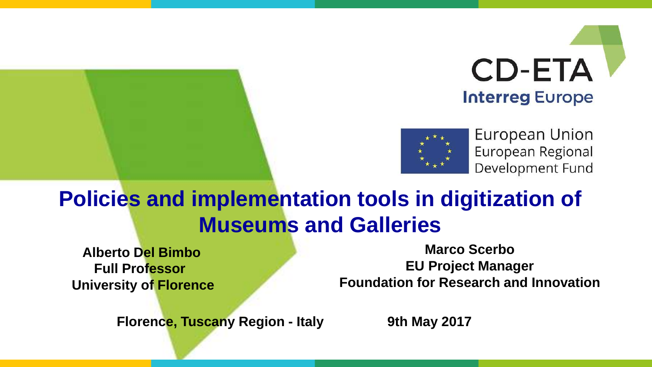



European Union European Regional Development Fund

### **Policies and implementation tools in digitization of Museums and Galleries**

**Alberto Del Bimbo Full Professor University of Florence**

**Marco Scerbo EU Project Manager Foundation for Research and Innovation**

**Florence, Tuscany Region - Italy 9th May 2017**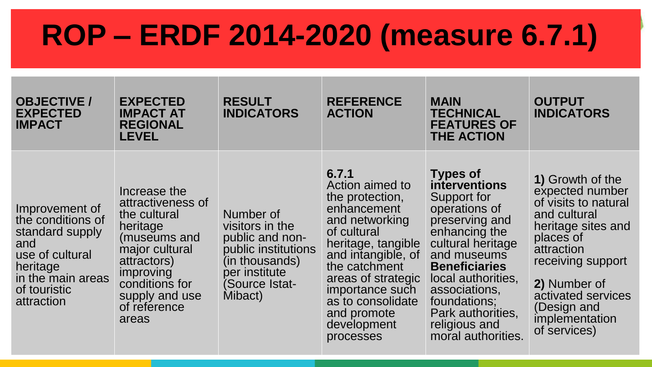## **ROP – ERDF 2014-2020 (measure 6.7.1)**

| <b>OBJECTIVE /</b><br><b>EXPECTED</b><br><b>IMPACT</b>                                                                                          | <b>EXPECTED</b><br><b>IMPACT AT</b><br><b>REGIONAL</b><br><b>LEVEL</b>                                                                                                                   | <b>RESULT</b><br><b>INDICATORS</b>                                                                                                     | <b>REFERENCE</b><br><b>ACTION</b>                                                                                                                                                                                                                                 | <b>MAIN</b><br><b>TECHNICAL</b><br><b>FEATURES OF</b><br><b>THE ACTION</b>                                                                                                                                                                                                                | <b>OUTPUT</b><br><b>INDICATORS</b>                                                                                                                                                                                                       |
|-------------------------------------------------------------------------------------------------------------------------------------------------|------------------------------------------------------------------------------------------------------------------------------------------------------------------------------------------|----------------------------------------------------------------------------------------------------------------------------------------|-------------------------------------------------------------------------------------------------------------------------------------------------------------------------------------------------------------------------------------------------------------------|-------------------------------------------------------------------------------------------------------------------------------------------------------------------------------------------------------------------------------------------------------------------------------------------|------------------------------------------------------------------------------------------------------------------------------------------------------------------------------------------------------------------------------------------|
| Improvement of<br>the conditions of<br>standard supply<br>and<br>use of cultural<br>heritage<br>in the main areas<br>of touristic<br>attraction | Increase the<br>attractiveness of<br>the cultural<br>heritage<br>(museums and<br>major cultural<br>attractors)<br>improving<br>conditions for<br>supply and use<br>of reference<br>areas | Number of<br>visitors in the<br>public and non-<br>public institutions<br>(in thousands)<br>per institute<br>(Source Istat-<br>Mibact) | 6.7.1<br>Action aimed to<br>the protection,<br>enhancement<br>and networking<br>of cultural<br>heritage, tangible<br>and intangible, of<br>the catchment<br>areas of strategic<br>importance such<br>as to consolidate<br>and promote<br>development<br>processes | <b>Types of</b><br><b>interventions</b><br>Support for<br>operations of<br>preserving and<br>enhancing the<br>cultural heritage<br>and museums<br><b>Beneficiaries</b><br>local authorities,<br>associations,<br>foundations;<br>Park authorities,<br>religious and<br>moral authorities. | 1) Growth of the<br>expected number<br>of visits to natural<br>and cultural<br>heritage sites and<br>places of<br>attraction<br>receiving support<br>2) Number of<br>activated services<br>(Design and<br>implementation<br>of services) |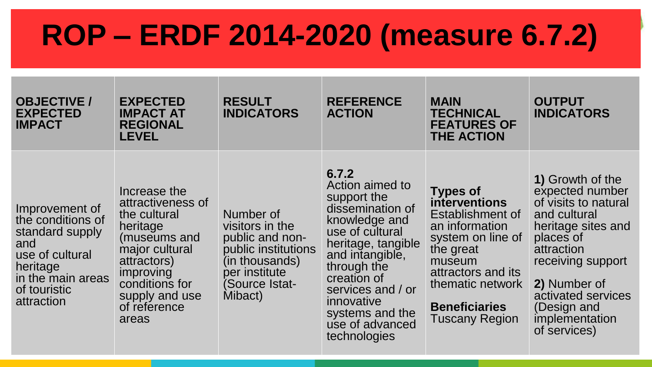## **ROP – ERDF 2014-2020 (measure 6.7.2)**

| <b>OBJECTIVE /</b><br><b>EXPECTED</b><br><b>IMPACT</b>                                                                                          | <b>EXPECTED</b><br><b>IMPACT AT</b><br><b>REGIONAL</b><br><b>LEVEL</b>                                                                                                                   | <b>RESULT</b><br><b>INDICATORS</b>                                                                                                     | <b>REFERENCE</b><br><b>ACTION</b>                                                                                                                                                                                                                               | <b>MAIN</b><br><b>TECHNICAL</b><br><b>FEATURES OF</b><br><b>THE ACTION</b>                                                                                                                                           | <b>OUTPUT</b><br><b>INDICATORS</b>                                                                                                                                                                                                       |
|-------------------------------------------------------------------------------------------------------------------------------------------------|------------------------------------------------------------------------------------------------------------------------------------------------------------------------------------------|----------------------------------------------------------------------------------------------------------------------------------------|-----------------------------------------------------------------------------------------------------------------------------------------------------------------------------------------------------------------------------------------------------------------|----------------------------------------------------------------------------------------------------------------------------------------------------------------------------------------------------------------------|------------------------------------------------------------------------------------------------------------------------------------------------------------------------------------------------------------------------------------------|
| Improvement of<br>the conditions of<br>standard supply<br>and<br>use of cultural<br>heritage<br>in the main areas<br>of touristic<br>attraction | Increase the<br>attractiveness of<br>the cultural<br>heritage<br>(museums and<br>major cultural<br>attractors)<br>improving<br>conditions for<br>supply and use<br>of reference<br>areas | Number of<br>visitors in the<br>public and non-<br>public institutions<br>(in thousands)<br>per institute<br>(Source Istat-<br>Mibact) | 6.7.2<br>Action aimed to<br>support the<br>dissemination of<br>knowledge and<br>use of cultural<br>heritage, tangible<br>and intangible,<br>through the<br>creation of<br>services and / or<br>innovative<br>systems and the<br>use of advanced<br>technologies | <b>Types of</b><br><b>interventions</b><br>Establishment of<br>an information<br>system on line of<br>the great<br>museum<br>attractors and its<br>thematic network<br><b>Beneficiaries</b><br><b>Tuscany Region</b> | 1) Growth of the<br>expected number<br>of visits to natural<br>and cultural<br>heritage sites and<br>places of<br>attraction<br>receiving support<br>2) Number of<br>activated services<br>(Design and<br>implementation<br>of services) |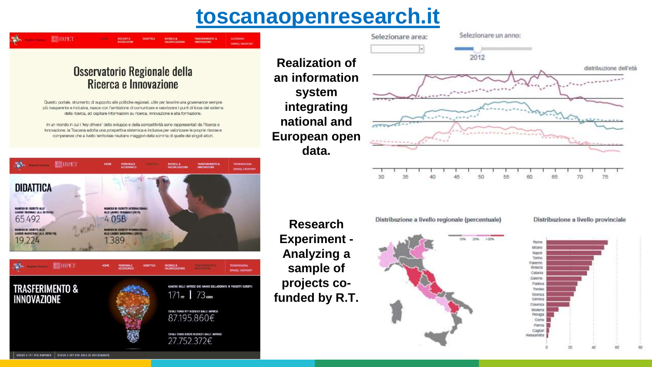#### **toscanaopenresearch.it**

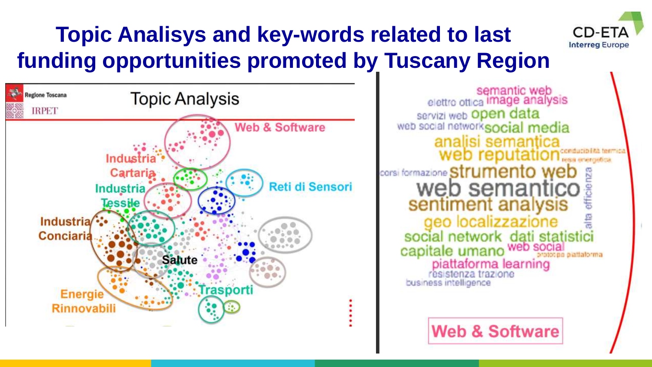### **Topic Analisys and key-words related to last funding opportunities promoted by Tuscany Region**





semantic web<br>elettro ottica image analysis servizi web Open data web social networksocial media analisi semantica web reputatio corsi formazione **Strumento web** web semantico sentiment analysis geo localizzazione social network dati statistici capitale umano web social piattaforma learning resistenza trazione business intelligence

**Web & Software**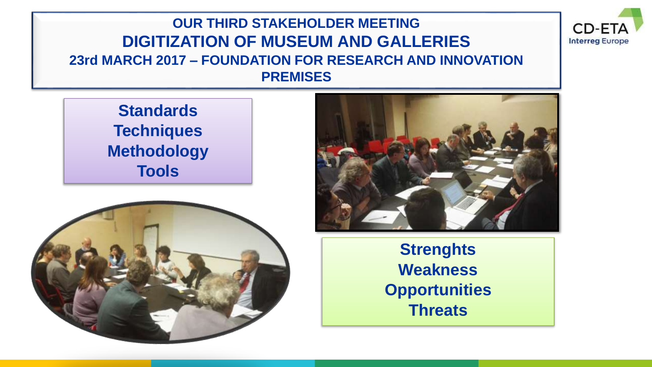#### **OUR THIRD STAKEHOLDER MEETING DIGITIZATION OF MUSEUM AND GALLERIES 23rd MARCH 2017 – FOUNDATION FOR RESEARCH AND INNOVATION PREMISES**

**Standards Techniques Methodology Tools**





CD-F1 **Interreg Europe** 

**Strenghts Weakness Opportunities Threats**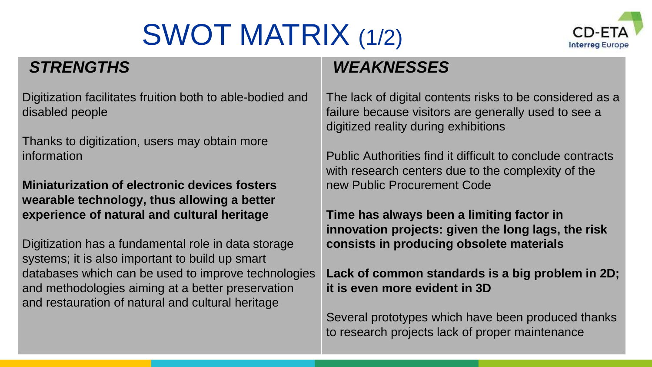# SWOT MATRIX (1/2)



#### *STRENGTHS*

Digitization facilitates fruition both to able-bodied and disabled people

Thanks to digitization, users may obtain more information

**Miniaturization of electronic devices fosters wearable technology, thus allowing a better experience of natural and cultural heritage** 

Digitization has a fundamental role in data storage systems; it is also important to build up smart databases which can be used to improve technologies and methodologies aiming at a better preservation and restauration of natural and cultural heritage

The lack of digital contents risks to be considered as a failure because visitors are generally used to see a digitized reality during exhibitions

*WEAKNESSES*

Public Authorities find it difficult to conclude contracts with research centers due to the complexity of the new Public Procurement Code

**Time has always been a limiting factor in innovation projects: given the long lags, the risk consists in producing obsolete materials** 

**Lack of common standards is a big problem in 2D; it is even more evident in 3D** 

Several prototypes which have been produced thanks to research projects lack of proper maintenance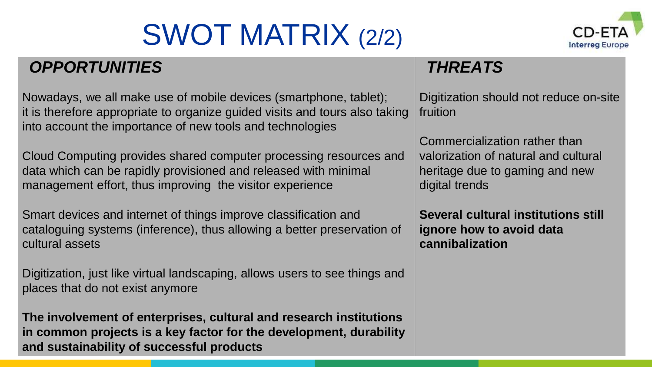# SWOT MATRIX (2/2)



#### *OPPORTUNITIES*

Nowadays, we all make use of mobile devices (smartphone, tablet); it is therefore appropriate to organize guided visits and tours also taking into account the importance of new tools and technologies

Cloud Computing provides shared computer processing resources and data which can be rapidly provisioned and released with minimal management effort, thus improving the visitor experience

Smart devices and internet of things improve classification and cataloguing systems (inference), thus allowing a better preservation of cultural assets

Digitization, just like virtual landscaping, allows users to see things and places that do not exist anymore

**The involvement of enterprises, cultural and research institutions in common projects is a key factor for the development, durability and sustainability of successful products** 

#### *THREATS*

Digitization should not reduce on-site fruition

Commercialization rather than valorization of natural and cultural heritage due to gaming and new digital trends

**Several cultural institutions still ignore how to avoid data cannibalization**